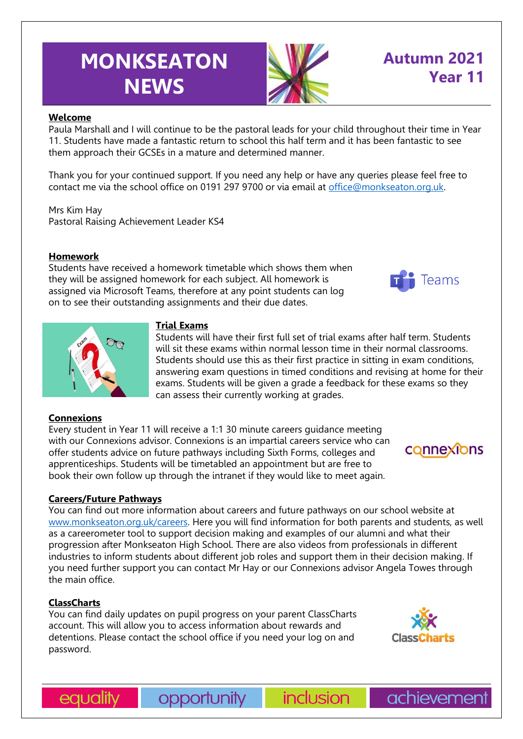# **MONKSEATON NEWS**



## **Autumn 2021 Year 11**

#### **Welcome**

Paula Marshall and I will continue to be the pastoral leads for your child throughout their time in Year 11. Students have made a fantastic return to school this half term and it has been fantastic to see them approach their GCSEs in a mature and determined manner.

Thank you for your continued support. If you need any help or have any queries please feel free to contact me via the school office on 0191 297 9700 or via email at [office@monkseaton.org.uk.](mailto:office@monkseaton.org.uk)

Mrs Kim Hay Pastoral Raising Achievement Leader KS4

#### **Homework**

Students have received a homework timetable which shows them when they will be assigned homework for each subject. All homework is assigned via Microsoft Teams, therefore at any point students can log on to see their outstanding assignments and their due dates.





#### **Trial Exams**

Students will have their first full set of trial exams after half term. Students will sit these exams within normal lesson time in their normal classrooms. Students should use this as their first practice in sitting in exam conditions, answering exam questions in timed conditions and revising at home for their exams. Students will be given a grade a feedback for these exams so they can assess their currently working at grades.

#### **Connexions**

Every student in Year 11 will receive a 1:1 30 minute careers guidance meeting with our Connexions advisor. Connexions is an impartial careers service who can offer students advice on future pathways including Sixth Forms, colleges and apprenticeships. Students will be timetabled an appointment but are free to book their own follow up through the intranet if they would like to meet again.

#### **Careers/Future Pathways**

You can find out more information about careers and future pathways on our school website at [www.monkseaton.org.uk/careers.](http://www.monkseaton.org.uk/careers) Here you will find information for both parents and students, as well as a careerometer tool to support decision making and examples of our alumni and what their progression after Monkseaton High School. There are also videos from professionals in different industries to inform students about different job roles and support them in their decision making. If you need further support you can contact Mr Hay or our Connexions advisor Angela Towes through the main office.

#### **ClassCharts**

You can find daily updates on pupil progress on your parent ClassCharts account. This will allow you to access information about rewards and detentions. Please contact the school office if you need your log on and password.



connexions

equality

opportunity



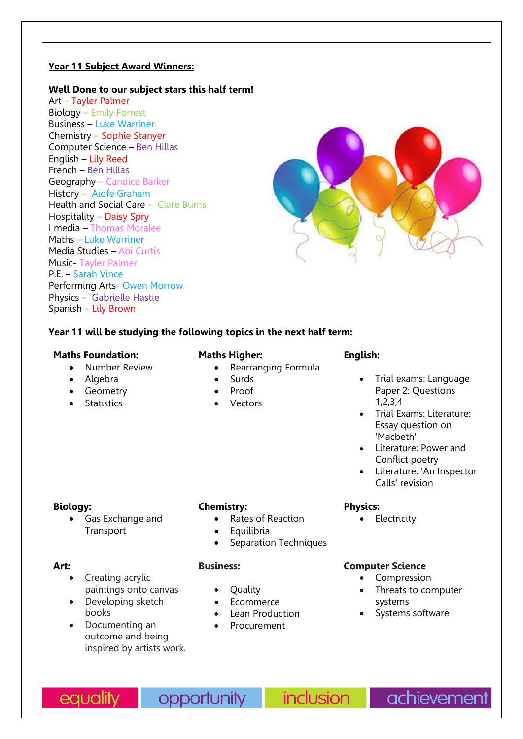#### **Year 11 Subject Award Winners:**

#### **Well Done to our subject stars this half term!**

Art – Tayler Palmer Biology – Emily Forrest Business – Luke Warriner Chemistry – Sophie Stanyer Computer Science – Ben Hillas English – Lily Reed French – Ben Hillas Geography – Candice Barker History – Aiofe Graham Health and Social Care – Clare Burns Hospitality – Daisy Spry I media – Thomas Moralee Maths – Luke Warriner Media Studies – Abi Curtis Music- Tayler Palmer P.E. – Sarah Vince Performing Arts- Owen Morrow Physics – Gabrielle Hastie Spanish – Lily Brown



#### **Year 11 will be studying the following topics in the next half term:**

#### **Maths Foundation:**

- Number Review
- Algebra
- Geometry
- **Statistics**

#### **Maths Higher:**

- Rearranging Formula
- **Surds**
- Proof
- Vectors

#### **English:**

- Trial exams: Language Paper 2: Questions 1,2,3,4
- Trial Exams: Literature: Essay question on 'Macbeth'
- Literature: Power and Conflict poetry
- Literature: 'An Inspector Calls' revision

#### **Biology:**

• Gas Exchange and Transport

#### **Chemistry:**

- Rates of Reaction
	- **Equilibria**
- Separation Techniques

#### **Art:**

- Creating acrylic paintings onto canvas
- Developing sketch books
- Documenting an outcome and being inspired by artists work.

#### **Business:**

- Quality
- Ecommerce
- Lean Production
- Procurement

### **Physics:**

• Electricity

#### **Computer Science**

- Compression
- Threats to computer systems
- Systems software

equality

opportunity

**inclusion** 

achievement